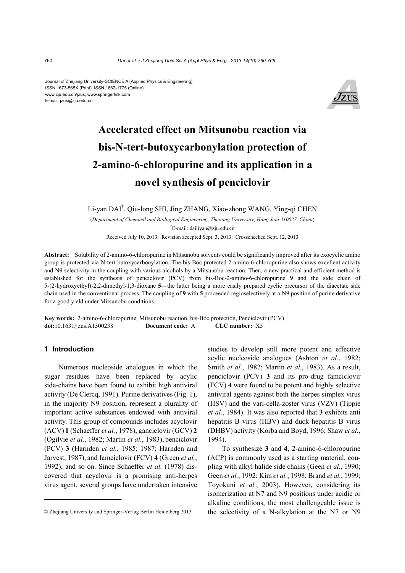#### Journal of Zhejiang University-SCIENCE A (Applied Physics & Engineering) ISSN 1673-565X (Print); ISSN 1862-1775 (Online) www.zju.edu.cn/jzus; www.springerlink.com E-mail: jzus@zju.edu.cn



# **Accelerated effect on Mitsunobu reaction via bis-N-tert-butoxycarbonylation protection of 2-amino-6-chloropurine and its application in a novel synthesis of penciclovir**

Li-yan DAI† , Qiu-long SHI, Jing ZHANG, Xiao-zhong WANG, Ying-qi CHEN

(*Department of Chemical and Biological Engineering, Zhejiang University, Hangzhou 310027, China*) † E-mail: dailiyan@zju.edu.cn Received July 10, 2013; Revision accepted Sept. 3, 2013; Crosschecked Sept. 12, 2013

**Abstract:** Solubility of 2-amino-6-chloropurine in Mitsunobu solvents could be significantly improved after its exocyclic amino group is protected via N-tert-butoxycarbonylation. The bis-Boc protected 2-amino-6-chloropurine also shows excellent activity and N9 selectivity in the coupling with various alcohols by a Mitsunobu reaction. Then, a new practical and efficient method is established for the synthesis of penciclovir (PCV) from bis-Boc-2-amino-6-chloropurine **9** and the side chain of 5-(2-hydroxyethyl)-2,2-dimethyl-1,3-dioxane **5**—the latter being a more easily prepared cyclic precursor of the diacetate side chain used in the conventional process. The coupling of **9** with **5** proceeded regioselectively at a N9 position of purine derivative for a good yield under Mitsunobu conditions.

**Key words:** 2-amino-6-chloropurine, Mitsunobu reaction, bis-Boc protection, Penciclovir (PCV) **doi:**10.1631/jzus.A1300238 **Document code:** A **CLC number:** X5

## **1 Introduction**

Numerous nucleoside analogues in which the sugar residues have been replaced by acylic side-chains have been found to exhibit high antiviral activity (De Clercq, 1991). Purine derivatives (Fig. 1), in the majority N9 position, represent a plurality of important active substances endowed with antiviral activity. This group of compounds includes acyclovir (ACV) **1** (Schaeffer *et al.*, 1978), ganciclovir (GCV) **2** (Ogilvie *et al.*, 1982; Martin *et al.*, 1983), penciclovir (PCV) **3** (Harnden *et al.*, 1985; 1987; Harnden and Jarvest, 1987), and famciclovir (FCV) **4** (Green *et al.*, 1992), and so on. Since Schaeffer *et al.* (1978) discovered that acyclovir is a promising anti-herpes virus agent, several groups have undertaken intensive

studies to develop still more potent and effective acylic nucleoside analogues (Ashton *et al.*, 1982; Smith *et al.*, 1982; Martin *et al.*, 1983). As a result, penciclovir (PCV) **3** and its pro-drug famciclovir (FCV) **4** were found to be potent and highly selective antiviral agents against both the herpes simplex virus (HSV) and the vari-cella-zoster virus (VZV) (Tippie *et al.*, 1984). It was also reported that **3** exhibits anti hepatitis B virus (HBV) and duck hepatitis B virus (DHBV) activity (Korba and Boyd, 1996; Shaw *et al.*, 1994).

To synthesize **3** and **4**, 2-amino-6-chloropurine (ACP) is commonly used as a starting material, coupling with alkyl halide side chains (Geen *et al.*, 1990; Geen *et al.*, 1992; Kim *et al.*, 1998; Brand *et al.*, 1999; Toyokuni *et al.*, 2003). However, considering its isomerization at N7 and N9 positions under acidic or alkaline conditions, the most challengeable issue is the selectivity of a N-alkylation at the N7 or N9

<sup>©</sup> Zhejiang University and Springer-Verlag Berlin Heidelberg 2013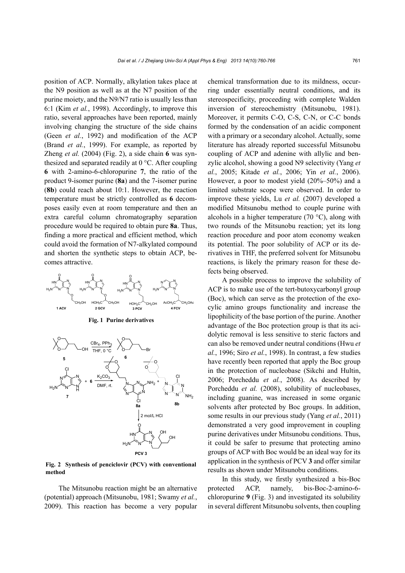position of ACP. Normally, alkylation takes place at the N9 position as well as at the N7 position of the purine moiety, and the N9/N7 ratio is usually less than 6:1 (Kim *et al.*, 1998). Accordingly, to improve this ratio, several approaches have been reported, mainly involving changing the structure of the side chains (Geen *et al.*, 1992) and modification of the ACP (Brand *et al.*, 1999). For example, as reported by Zheng *et al.* (2004) (Fig. 2), a side chain **6** was synthesized and separated readily at 0 °C. After coupling **6** with 2-amino-6-chloropurine **7**, the ratio of the product 9-isomer purine (**8a**) and the 7-isomer purine (**8b**) could reach about 10:1. However, the reaction temperature must be strictly controlled as **6** decomposes easily even at room temperature and then an extra careful column chromatography separation procedure would be required to obtain pure **8a**. Thus, finding a more practical and efficient method, which could avoid the formation of N7-alkylated compound and shorten the synthetic steps to obtain ACP, becomes attractive.



**Fig. 2 Synthesis of penciclovir (PCV) with conventional method**

The Mitsunobu reaction might be an alternative (potential) approach (Mitsunobu, 1981; Swamy *et al.*, 2009). This reaction has become a very popular chemical transformation due to its mildness, occurring under essentially neutral conditions, and its stereospecificity, proceeding with complete Walden inversion of stereochemistry (Mitsunobu, 1981). Moreover, it permits C-O, C-S, C-N, or C-C bonds formed by the condensation of an acidic component with a primary or a secondary alcohol. Actually, some literature has already reported successful Mitsunobu coupling of ACP and adenine with allylic and benzylic alcohol, showing a good N9 selectivity (Yang *et al.*, 2005; Kitade *et al.*, 2006; Yin *et al.*, 2006). However, a poor to modest yield (20%–50%) and a limited substrate scope were observed. In order to improve these yields, Lu *et al.* (2007) developed a modified Mitsunobu method to couple purine with alcohols in a higher temperature  $(70 \degree C)$ , along with two rounds of the Mitsunobu reaction; yet its long reaction procedure and poor atom economy weaken its potential. The poor solubility of ACP or its derivatives in THF, the preferred solvent for Mitsunobu reactions, is likely the primary reason for these defects being observed.

A possible process to improve the solubility of ACP is to make use of the tert-butoxycarbonyl group (Boc), which can serve as the protection of the exocylic amino groups functionality and increase the lipophilicity of the base portion of the purine. Another advantage of the Boc protection group is that its acidolytic removal is less sensitive to steric factors and can also be removed under neutral conditions (Hwu *et al.*, 1996; Siro *et al.*, 1998). In contrast, a few studies have recently been reported that apply the Boc group in the protection of nucleobase (Sikchi and Hultin, 2006; Porcheddu *et al.*, 2008). As described by Porcheddu *et al.* (2008), solubility of nucleobases, including guanine, was increased in some organic solvents after protected by Boc groups. In addition, some results in our previous study (Yang *et al.*, 2011) demonstrated a very good improvement in coupling purine derivatives under Mitsunobu conditions. Thus, it could be safer to presume that protecting amino groups of ACP with Boc would be an ideal way for its application in the synthesis of PCV **3** and offer similar results as shown under Mitsunobu conditions.

In this study, we firstly synthesized a bis-Boc protected ACP, namely, bis-Boc-2-amino-6 chloropurine **9** (Fig. 3) and investigated its solubility in several different Mitsunobu solvents, then coupling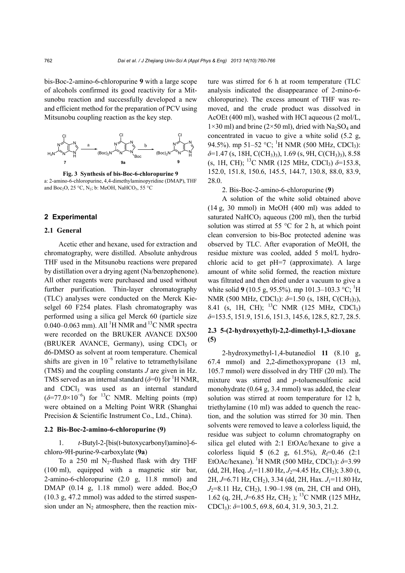bis-Boc-2-amino-6-chloropurine **9** with a large scope of alcohols confirmed its good reactivity for a Mitsunobu reaction and successfully developed a new and efficient method for the preparation of PCV using Mitsunobu coupling reaction as the key step.



**Fig. 3 Synthesis of bis-Boc-6-chloropurine 9**  a: 2-amino-6-chloropurine, 4,4-dimethylaminopyridine (DMAP), THF and Boc<sub>2</sub>O, 25 °C, N<sub>2</sub>; b: MeOH, NaHCO<sub>3</sub>, 55 °C

#### **2 Experimental**

#### **2.1 General**

Acetic ether and hexane, used for extraction and chromatography, were distilled. Absolute anhydrous THF used in the Mitsunobu reactions were prepared by distillation over a drying agent (Na/benzophenone). All other reagents were purchased and used without further purification. Thin-layer chromatography (TLC) analyses were conducted on the Merck Kieselgel 60 F254 plates. Flash chromatography was performed using a silica gel Merck 60 (particle size 0.040–0.063 mm). All <sup>1</sup>H NMR and <sup>13</sup>C NMR spectra were recorded on the BRUKER AVANCE DX500  $(BRUKER)$  AVANCE, Germany), using CDCl<sub>3</sub> or d6-DMSO as solvent at room temperature. Chemical shifts are given in  $10^{-6}$  relative to tetramethylsilane (TMS) and the coupling constants *J* are given in Hz. TMS served as an internal standard  $(\delta=0)$  for <sup>1</sup>H NMR, and CDCl<sub>3</sub> was used as an internal standard  $(\delta = 77.0 \times 10^{-6})$  for <sup>13</sup>C NMR. Melting points (mp) were obtained on a Melting Point WRR (Shanghai Precision & Scientific Instrument Co., Ltd., China).

## **2.2 Bis-Boc-2-amino-6-chloropurine (9)**

1. *t*-Butyl-2-[bis(t-butoxycarbonyl)amino]-6 chloro-9H-purine-9-carboxylate (**9a**)

To a 250 ml N<sub>2</sub>-flushed flask with dry THF (100 ml), equipped with a magnetic stir bar, 2-amino-6-chloropurine (2.0 g, 11.8 mmol) and DMAP (0.14 g, 1.18 mmol) were added.  $Boc<sub>2</sub>O$ (10.3 g, 47.2 mmol) was added to the stirred suspension under an  $N_2$  atmosphere, then the reaction mixture was stirred for 6 h at room temperature (TLC analysis indicated the disappearance of 2-mino-6 chloropurine). The excess amount of THF was removed, and the crude product was dissolved in AcOEt (400 ml), washed with HCl aqueous (2 mol/L,  $1\times30$  ml) and brine ( $2\times50$  ml), dried with Na<sub>2</sub>SO<sub>4</sub> and concentrated in vacuo to give a white solid (5.2 g, 94.5%). mp 51–52 °C; <sup>1</sup>H NMR (500 MHz, CDCl<sub>3</sub>):  $\delta$ =1.47 (s, 18H, C(CH<sub>3</sub>)<sub>3</sub>), 1.69 (s, 9H, C(CH<sub>3</sub>)<sub>3</sub>), 8.58 (s, 1H, CH); 13C NMR (125 MHz, CDCl3) *δ*=153.8, 152.0, 151.8, 150.6, 145.5, 144.7, 130.8, 88.0, 83.9, 28.0.

2. Bis-Boc-2-amino-6-chloropurine (**9**)

A solution of the white solid obtained above (14 g, 30 mmol) in MeOH (400 ml) was added to saturated NaHCO<sub>3</sub> aqueous (200 ml), then the turbid solution was stirred at 55  $\degree$ C for 2 h, at which point clean conversion to bis-Boc protected adenine was observed by TLC. After evaporation of MeOH, the residue mixture was cooled, added 5 mol/L hydrochloric acid to get pH=7 (approximate). A large amount of white solid formed, the reaction mixture was filtrated and then dried under a vacuum to give a white solid **9** (10.5 g, 95.5%). mp 101.3–103.3 °C; <sup>1</sup>H NMR (500 MHz, CDCl<sub>3</sub>):  $\delta$ =1.50 (s, 18H, C(CH<sub>3</sub>)<sub>3</sub>), 8.41 (s, 1H, CH); <sup>13</sup>C NMR (125 MHz, CDCl<sub>3</sub>) *δ*=153.5, 151.9, 151.6, 151.3, 145.6, 128.5, 82.7, 28.5.

# **2.3 5-(2-hydroxyethyl)-2,2-dimethyl-1,3-dioxane (5)**

2-hydroxymethyl-1,4-butanediol **11** (8.10 g, 67.4 mmol) and 2,2-dimethoxypropane (13 ml, 105.7 mmol) were dissolved in dry THF (20 ml). The mixture was stirred and *p*-toluenesulfonic acid monohydrate (0.64 g, 3.4 mmol) was added, the clear solution was stirred at room temperature for 12 h, triethylamine (10 ml) was added to quench the reaction, and the solution was stirred for 30 min. Then solvents were removed to leave a colorless liquid, the residue was subject to column chromatography on silica gel eluted with 2:1 EtOAc/hexane to give a colorless liquid **5** (6.2 g, 61.5%),  $R_f=0.46$  (2:1) EtOAc/hexane). 1 H NMR (500 MHz, CDCl3): *δ*=3.99 (dd, 2H, Heq. *J*<sub>1</sub>=11.80 Hz, *J*<sub>2</sub>=4.45 Hz, CH<sub>2</sub>); 3.80 (t, 2H, *J*=6.71 Hz, CH<sub>2</sub>), 3.34 (dd, 2H, Hax. *J*<sub>1</sub>=11.80 Hz,  $J_2=8.11$  Hz, CH<sub>2</sub>), 1.90–1.98 (m, 2H, CH and OH), 1.62 (q, 2H, *J*=6.85 Hz, CH2 ); 13C NMR (125 MHz, CDCl3): *δ*=100.5, 69.8, 60.4, 31.9, 30.3, 21.2.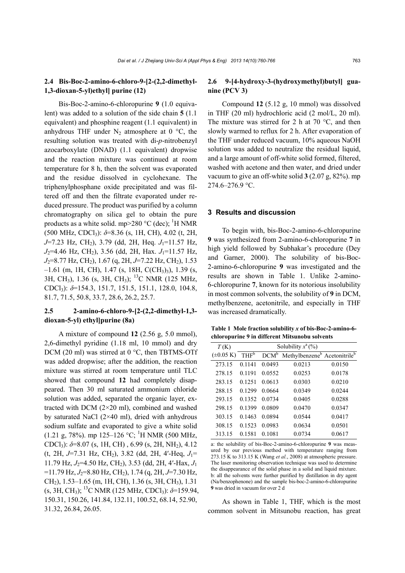# **2.4 Bis-Boc-2-amino-6-chloro-9-[2-(2,2-dimethyl-1,3-dioxan-5-yl)ethyl] purine (12)**

Bis-Boc-2-amino-6-chloropurine **9** (1.0 equivalent) was added to a solution of the side chain **5** (1.1 equivalent) and phosphine reagent (1.1 equivalent) in anhydrous THF under  $N_2$  atmosphere at 0 °C, the resulting solution was treated with di-*p*-nitrobenzyl azocarboxylate (DNAD) (1.1 equivalent) dropwise and the reaction mixture was continued at room temperature for 8 h, then the solvent was evaporated and the residue dissolved in cyclohexane. The triphenylphosphane oxide precipitated and was filtered off and then the filtrate evaporated under reduced pressure. The product was purified by a column chromatography on silica gel to obtain the pure products as a white solid. mp>280  $^{\circ}$ C (dec); <sup>1</sup>H NMR (500 MHz, CDCl3): *δ*=8.36 (s, 1H, CH), 4.02 (t, 2H, *J*=7.23 Hz, CH<sub>2</sub>), 3.79 (dd, 2H, Heq. *J*<sub>1</sub>=11.57 Hz, *J*<sub>2</sub>=4.46 Hz, CH<sub>2</sub>), 3.56 (dd, 2H, Hax. *J*<sub>1</sub>=11.57 Hz, *J*<sub>2</sub>=8.77 Hz, CH<sub>2</sub>), 1.67 (q, 2H, *J*=7.22 Hz, CH<sub>2</sub>), 1.53  $-1.61$  (m, 1H, CH), 1.47 (s, 18H, C(CH<sub>3</sub>)<sub>3</sub>), 1.39 (s, 3H, CH<sub>3</sub>), 1.36 (s, 3H, CH<sub>3</sub>); <sup>13</sup>C NMR (125 MHz, CDCl3): *δ*=154.3, 151.7, 151.5, 151.1, 128.0, 104.8, 81.7, 71.5, 50.8, 33.7, 28.6, 26.2, 25.7.

# **2.5 2-amino-6-chloro-9-[2-(2,2-dimethyl-1,3 dioxan-5-yl) ethyl]purine (8a)**

A mixture of compound **12** (2.56 g, 5.0 mmol), 2,6-dimethyl pyridine (1.18 ml, 10 mmol) and dry DCM (20 ml) was stirred at 0 °C, then TBTMS-OTf was added dropwise; after the addition, the reaction mixture was stirred at room temperature until TLC showed that compound **12** had completely disappeared. Then 30 ml saturated ammonium chloride solution was added, separated the organic layer, extracted with DCM (2×20 ml), combined and washed by saturated NaCl  $(2\times40$  ml), dried with anhydrous sodium sulfate and evaporated to give a white solid  $(1.21 \text{ g}, 78\%)$ . mp 125–126 °C; <sup>1</sup>H NMR (500 MHz, CDCl<sub>3</sub>):  $δ=8.07$  (s, 1H, CH), 6.99 (s, 2H, NH<sub>2</sub>), 4.12  $(t, 2H, J=7.31$  Hz, CH<sub>2</sub>), 3.82 (dd, 2H, 4'-Heq,  $J_1=$ 11.79 Hz, *J*2=4.50 Hz, CH2), 3.53 (dd, 2H, 4′-Hax, *J*<sup>1</sup> =11.79 Hz, *J*<sub>2</sub>=8.80 Hz, CH<sub>2</sub>), 1.74 (q, 2H, *J*=7.30 Hz, CH2), 1.53–1.65 (m, 1H, CH), 1.36 (s, 3H, CH3), 1.31 (s, 3H, CH<sub>3</sub>); <sup>13</sup>C NMR (125 MHz, CDCl<sub>3</sub>):  $\delta$ =159.94, 150.31, 150.26, 141.84, 132.11, 100.52, 68.14, 52.90, 31.32, 26.84, 26.05.

# **2.6 9-[4-hydroxy-3-(hydroxymethyl)butyl] guanine (PCV 3)**

Compound **12** (5.12 g, 10 mmol) was dissolved in THF (20 ml) hydrochloric acid (2 mol/L, 20 ml). The mixture was stirred for 2 h at 70  $^{\circ}$ C, and then slowly warmed to reflux for 2 h. After evaporation of the THF under reduced vacuum, 10% aqueous NaOH solution was added to neutralize the residual liquid, and a large amount of off-white solid formed, filtered, washed with acetone and then water, and dried under vacuum to give an off-white solid **3** (2.07 g, 82%). mp 274.6–276.9 °C.

## **3 Results and discussion**

To begin with, bis-Boc-2-amino-6-chloropurine **9** was synthesized from 2-amino-6-chloropurine **7** in high yield followed by Subhakar's procedure (Dey and Garner, 2000). The solubility of bis-Boc-2-amino-6-chloropurine **9** was investigated and the results are shown in Table 1. Unlike 2-amino-6-chloropurine **7**, known for its notorious insolubility in most common solvents, the solubility of **9** in DCM, methylbenzene, acetonitrile, and especially in THF was increased dramatically.

**Table 1 Mole fraction solubility** *x* **of bis-Boc-2-amino-6 chloropurine 9 in different Mitsunobu solvents** 

| T(K)                   | Solubility $x^a$ (%) |         |                                                      |        |
|------------------------|----------------------|---------|------------------------------------------------------|--------|
| $(\pm 0.05 \text{ K})$ | THF <sup>b</sup>     | $DCM^b$ | Methylbenzene <sup>b</sup> Acetonitrile <sup>b</sup> |        |
| 273.15                 | 0 1 1 4 1            | 0.0493  | 0.0213                                               | 0.0150 |
| 278.15                 | 0.1191               | 0.0552  | 0.0253                                               | 0.0178 |
| 283.15                 | 0.1251               | 0.0613  | 0.0303                                               | 0.0210 |
| 288.15                 | 0 1 2 9 9            | 0.0664  | 0.0349                                               | 0.0244 |
| 293.15                 | 0.1352               | 0.0734  | 0.0405                                               | 0.0288 |
| 298.15                 | 0.1399               | 0.0809  | 0.0470                                               | 0.0347 |
| 303.15                 | 0.1463               | 0.0894  | 0.0544                                               | 0.0417 |
| 308.15                 | 0.1523               | 0.0983  | 0.0634                                               | 0.0501 |
| 313.15                 | 0.1581               | 0.1081  | 0.0734                                               | 0.0617 |

a: the solubility of bis-Boc-2-amino-6-chloropurine **9** was measured by our previous method with temperature ranging from 273.15 K to 313.15 K (Wang *et al.*, 2008) at atmospheric pressure. The laser monitoring observation technique was used to determine the disappearance of the solid phase in a solid and liquid mixture. b: all the solvents were further purified by distillation in dry agent (Na/benzophenone) and the sample bis-boc-2-amino-6-chloropurine **9** was dried in vacuum for over 2 d

As shown in Table 1, THF, which is the most common solvent in Mitsunobu reaction, has great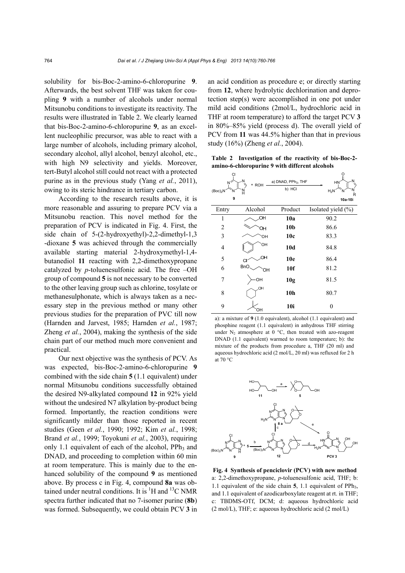solubility for bis-Boc-2-amino-6-chloropurine **9**. Afterwards, the best solvent THF was taken for coupling **9** with a number of alcohols under normal Mitsunobu conditions to investigate its reactivity. The results were illustrated in Table 2. We clearly learned that bis-Boc-2-amino-6-chloropurine **9**, as an excellent nucleophilic precursor, was able to react with a large number of alcohols, including primary alcohol, secondary alcohol, allyl alcohol, benzyl alcohol, etc., with high N9 selectivity and yields. Moreover, tert-Butyl alcohol still could not react with a protected purine as in the previous study (Yang *et al.*, 2011), owing to its steric hindrance in tertiary carbon.

According to the research results above, it is more reasonable and assuring to prepare PCV via a Mitsunobu reaction. This novel method for the preparation of PCV is indicated in Fig. 4. First, the side chain of 5-(2-hydroxyethyl)-2,2-dimethyl-1,3 -dioxane **5** was achieved through the commercially available starting material 2-hydroxymethyl-1,4 butanediol **11** reacting with 2,2-dimethoxypropane catalyzed by *p*-toluenesulfonic acid. The free –OH group of compound **5** is not necessary to be converted to the other leaving group such as chlorine, tosylate or methanesulphonate, which is always taken as a necessary step in the previous method or many other previous studies for the preparation of PVC till now (Harnden and Jarvest, 1985; Harnden *et al.*, 1987; Zheng *et al.*, 2004), making the synthesis of the side chain part of our method much more convenient and practical.

Our next objective was the synthesis of PCV. As was expected, bis-Boc-2-amino-6-chloropurine **9** combined with the side chain **5** (1.1 equivalent) under normal Mitsunobu conditions successfully obtained the desired N9-alkylated compound **12** in 92% yield without the undesired N7 alkylation by-product being formed. Importantly, the reaction conditions were significantly milder than those reported in recent studies (Geen *et al.*, 1990; 1992; Kim *et al.*, 1998; Brand *et al.*, 1999; Toyokuni *et al.*, 2003), requiring only 1.1 equivalent of each of the alcohol,  $PPh<sub>3</sub>$  and DNAD, and proceeding to completion within 60 min at room temperature. This is mainly due to the enhanced solubility of the compound **9** as mentioned above. By process c in Fig. 4, compound **8a** was obtained under neutral conditions. It is  ${}^{1}H$  and  ${}^{13}C$  NMR spectra further indicated that no 7-isomer purine (**8b**) was formed. Subsequently, we could obtain PCV **3** in

an acid condition as procedure e; or directly starting from **12**, where hydrolytic dechlorination and deprotection step(s) were accomplished in one pot under mild acid conditions (2mol/L, hydrochloric acid in THF at room temperature) to afford the target PCV **3** in 80%–85% yield (process d). The overall yield of PCV from **11** was 44.5% higher than that in previous study (16%) (Zheng *et al.*, 2004).

**Table 2 Investigation of the reactivity of bis-Boc-2 amino-6-chloropurine 9 with different alcohols** 

| СI<br>$N^2$<br>(Boc) <sub>2</sub> N<br>9 | N<br>+ ROH<br>N<br>H | a) DNAD, PPh <sub>3</sub> , THF<br>b) HCI | $\frac{N}{\sqrt{2}}$<br>HN <sup>®</sup><br>$H_2N$<br>Ν<br>R<br>10a-10i |
|------------------------------------------|----------------------|-------------------------------------------|------------------------------------------------------------------------|
| Entry                                    | Alcohol              | Product                                   | Isolated yield $(\% )$                                                 |
| 1                                        | OН                   | 10a                                       | 90.2                                                                   |
| $\overline{2}$                           | OH                   | 10 <sub>b</sub>                           | 86.6                                                                   |
| 3                                        | ЮH                   | 10c                                       | 83.3                                                                   |
| $\overline{4}$                           | OH                   | 10d                                       | 84.8                                                                   |
| 5                                        | OН<br><b>CI</b>      | 10 <sub>e</sub>                           | 86.4                                                                   |
| 6                                        | <b>BnO</b><br>OН     | 10f                                       | 81.2                                                                   |
| 7                                        | OH                   | 10 <sub>g</sub>                           | 81.5                                                                   |
| 8                                        | OH.                  | 10 <sub>h</sub>                           | 80.7                                                                   |
| 9                                        | ЮH                   | 10i                                       | 0                                                                      |

a): a mixture of **9** (1.0 equivalent), alcohol (1.1 equivalent) and phosphine reagent (1.1 equivalent) in anhydrous THF stirring under  $N_2$  atmosphere at 0 °C, then treated with azo-reagent DNAD (1.1 equivalent) warmed to room temperature; b): the mixture of the products from procedure a, THF (20 ml) and aqueous hydrochloric acid (2 mol/L, 20 ml) was refluxed for 2 h at 70 °C



**Fig. 4 Synthesis of penciclovir (PCV) with new method** a: 2,2-dimethoxypropane, *p*-toluenesulfonic acid, THF; b: 1.1 equivalent of the side chain  $5$ , 1.1 equivalent of PPh<sub>3</sub>, and 1.1 equivalent of azodicarboxylate reagent at rt. in THF; c: TBDMS-OTf, DCM; d: aqueous hydrochloric acid (2 mol/L), THF; e: aqueous hydrochloric acid (2 mol/L)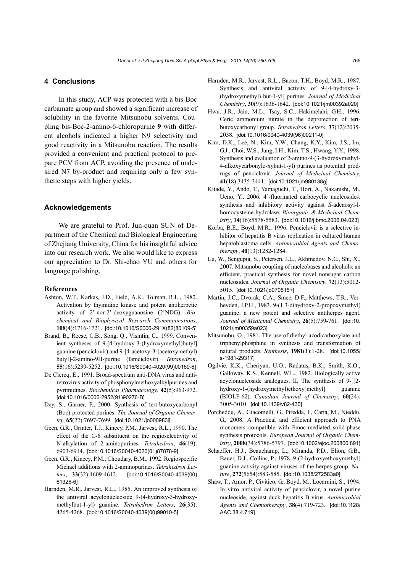### **4 Conclusions**

In this study, ACP was protected with a bis-Boc carbamate group and showed a significant increase of solubility in the favorite Mitsunobu solvents. Coupling bis-Boc-2-amino-6-chloropurine **9** with different alcohols indicated a higher N9 selectivity and good reactivity in a Mitsunobu reaction. The results provided a convenient and practical protocol to prepare PCV from ACP, avoiding the presence of undesired N7 by-product and requiring only a few synthetic steps with higher yields.

## **Acknowledgements**

We are grateful to Prof. Jun-quan SUN of Department of the Chemical and Biological Engineering of Zhejiang University, China for his insightful advice into our research work. We also would like to express our appreciation to Dr. Shi-chao YU and others for language polishing.

#### **References**

- Ashton, W.T., Karkas, J.D., Field, A.K., Tolman, R.L., 1982. Activation by thymidine kinase and potent antiherpetic activity of 2'-nor-2'-deoxyguanosine (2'NDG). *Biochemical and Biophysical Research Communications*, **108**(4):1716-1721. [doi:10.1016/S0006-291X(82)80109-5]
- Brand, B., Reese, C.B., Song, Q., Visintin, C., 1999. Convenient syntheses of 9-[4-hydroxy-3-(hydroxymethyl)butyl] guanine (penciclovir) and 9-[4-acetoxy-3-(acetoxymethyl) butyl]-2-amino-9H-purine (famciclovir). *Tetrahedron*, **55**(16):5239-5252. [doi:10.1016/S0040-4020(99)00169-6]
- De Clercq, E., 1991. Broad-spectrum anti-DNA virus and antiretrovirus activity of phosphonylmethoxyalkylpurines and pyrimidines. *Biochemical Pharmacology*, **42**(5):963-972. [doi:10.1016/0006-2952(91)90276-B]
- Dey, S., Garner, P., 2000. Synthesis of tert-butoxycarbonyl (Boc)-protected purines. *The Journal of Organic Chemistry*, **65**(22):7697-7699. [doi:10.1021/jo000983i]
- Geen, G.R., Grinter, T.J., Kincey, P.M., Jarvest, R.L., 1990. The effect of the C-6 substituent on the regioselectivity of N-alkylation of 2-aminopurines. *Tetrahedron*, **46**(19): 6903-6914. [doi:10.1016/S0040-4020(01)87878-9]
- Geen, G.R., Kincey, P.M., Choudary, B.M., 1992. Regiospecific Michael additions with 2-aminopurines. *Tetrahedron Letters*, **33**(32):4609-4612. [doi:10.1016/S0040-4039(00) 61326-6]
- Harnden, M.R., Jarvest, R.L., 1985. An improved synthesis of the antiviral acyclonucleoside 9-(4-hydroxy-3-hydroxymethylbut-1-yl) guanine. *Tetrahedron Letters*, **26**(35): 4265-4268. [doi:10.1016/S0040-4039(00)99010-5]
- Harnden, M.R., Jarvest, R.L., Bacon, T.H., Boyd, M.R., 1987. Synthesis and antiviral activity of 9-[4-hydroxy-3- (hydroxymethyl) but-1-yl] purines. *Journal of Medicinal Chemistry*, **30**(9):1636-1642. [doi:10.1021/jm00392a020]
- Hwu, J.R., Jain, M.L., Tsay, S.C., Hakimelahi, G.H., 1996. Ceric ammonium nitrate in the deprotection of tertbutoxycarbonyl group. *Tetrahedron Letters*, **37**(12):2035- 2038. [doi:10.1016/0040-4039(96)00211-0]
- Kim, D.K., Lee, N., Kim, Y.W., Chang, K.Y., Kim, J.S., Im, G.J., Choi, W.S., Jung, I.H., Kim, T.S., Hwang, Y.Y., 1998. Synthesis and evaluation of 2-amino-9-(3-hydroxymethyl-4-alkoxycarbonylo-xybut-1-yl) purines as potential prodrugs of penciclovir. *Journal of Medicinal Chemistry*, **41**(18):3435-3441. [doi:10.1021/jm980138g]
- Kitade, Y., Ando, T., Yamaguchi, T., Hori, A., Nakanishi, M., Ueno, Y., 2006. 4'-fluorinated carbocyclic nucleosides: synthesis and inhibitory activity against *S*-adenosyl-lhomocysteine hydrolase. *Bioorganic & Medicinal Chemistry*, **14**(16):5578-5583. [doi:10.1016/j.bmc.2006.04.023]
- Korba, B.E., Boyd, M.R., 1996. Penciclovir is a selective inhibitor of hepatitis B virus replication in cultured human hepatoblastoma cells. *Antimicrobial Agents and Chemotherapy*, **40**(13):1282-1284.
- Lu, W., Sengupta, S., Petersen, J.L., Akhmedov, N.G., Shi, X., 2007. Mitsunobu coupling of nucleobases and alcohols: an efficient, practical synthesis for novel nonsugar carbon nucleosides. *Journal of Organic Chemistry*, **72**(13):5012- 5015. [doi:10.1021/jo070515+]
- Martin, J.C., Dvorak, C.A., Smee, D.F., Matthews, T.R., Verheyden, J.P.H., 1983. 9-(1,3-dihydroxy-2-propoxymethyl) guanine: a new potent and selective antiherpes agent. *Journal of Medicinal Chemistry*, **26**(5):759-761. [doi:10. 1021/jm00359a023]
- Mitsunobu, O., 1981. The use of diethyl azodicarboxylate and triphenylphosphine in synthesis and transformation of natural products. *Synthesis*, **1981**(1):1-28. [doi:10.1055/ s-1981-29317]
- Ogilvie, K.K., Cheriyan, U.O., Radatus, B.K., Smith, K.O., Galloway, K.S., Kennell, W.L., 1982. Biologically active acyclonucleoside analogues. II. The synthesis of 9-[[2 hydroxy-1-(hydroxymethyl)ethoxy]methyl] guanine (BIOLF-62). *Canadian Journal of Chemistry*, **60**(24): 3005-3010. [doi:10.1139/v82-430]
- Porcheddu, A., Giacomelli, G., Piredda, I., Carta, M., Nieddu, G., 2008. A Practical and efficient approach to PNA monomers compatible with Fmoc-mediated solid-phase synthesis protocols. *European Journal of Organic Chemistry*, **2008**(34):5786-5797. [doi:10.1002/ejoc.200800 891]
- Schaeffer, H.J., Beauchamp, L., Miranda, P.D., Elion, G.B., Bauer, D.J., Collins, P., 1978. 9-(2-hydroxyethoxymethyl) guanine activity against viruses of the herpes group. *Nature*, **272**(5654):583-585. [doi:10.1038/272583a0]
- Shaw, T., Amor, P., Civitico, G., Boyd, M., Locarnini, S., 1994. In vitro antiviral activity of penciclovir, a novel purine nucleoside, against duck hepatitis B virus. *Antimicrobial Agents and Chemotherapy*, **38**(4):719-723. [doi:10.1128/ AAC.38.4.719]